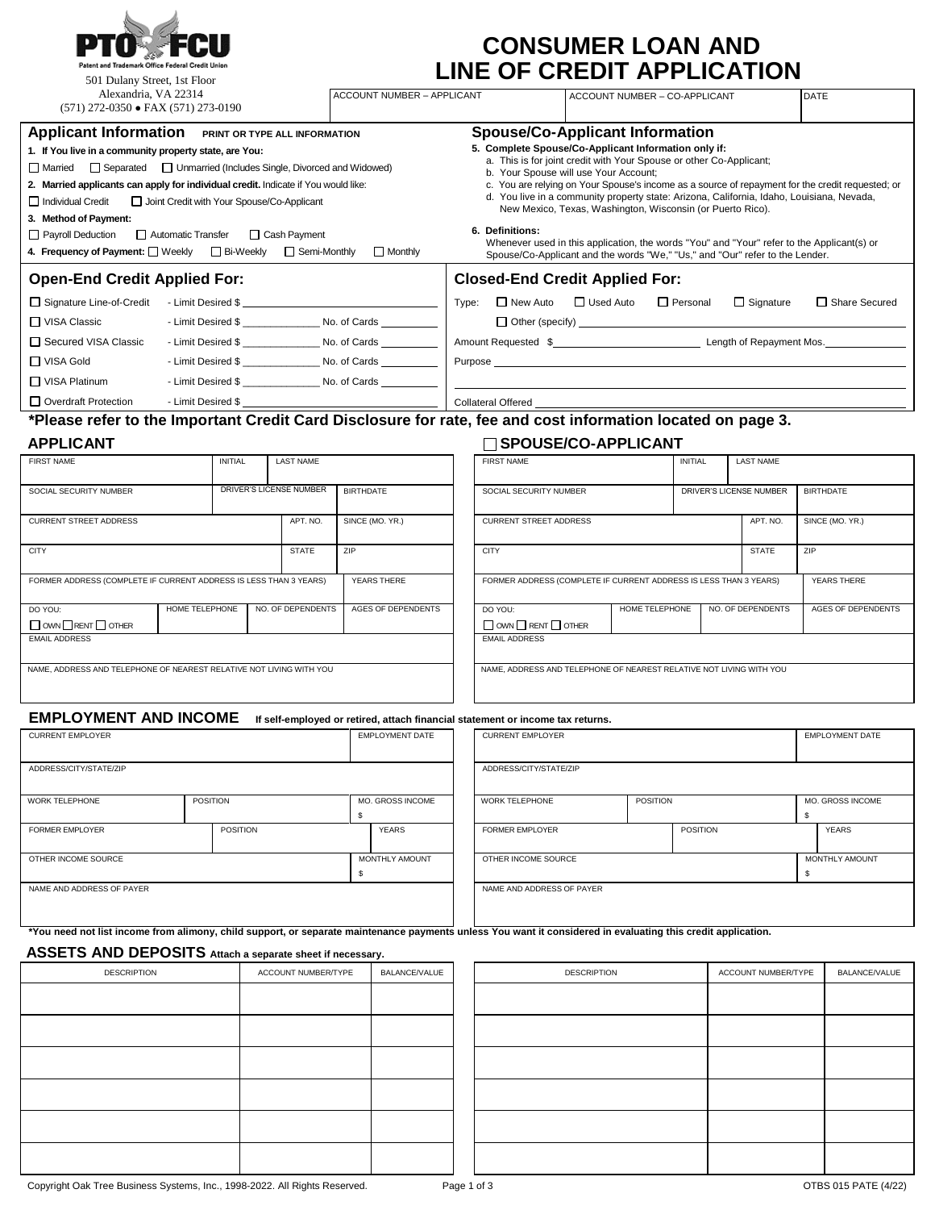

| <b>CONSUMER LOAN AND</b>          |  |
|-----------------------------------|--|
| <b>LINE OF CREDIT APPLICATION</b> |  |

| 501 Dulany Street, 1st Floor                                                                                                                                                                                                                                                                                                                                                                                                                                        |                |                 |                                                                                |                  |                                                                                                                                                                                                                                                                                                                                                                                        |                                                                                                                                                                                                                                                                                                                                                                                                                                                                                                              | INE OF CREDIT AFFLICATION                                                         |                                                            |                               |                  |                     |                                                                                                  |                        |
|---------------------------------------------------------------------------------------------------------------------------------------------------------------------------------------------------------------------------------------------------------------------------------------------------------------------------------------------------------------------------------------------------------------------------------------------------------------------|----------------|-----------------|--------------------------------------------------------------------------------|------------------|----------------------------------------------------------------------------------------------------------------------------------------------------------------------------------------------------------------------------------------------------------------------------------------------------------------------------------------------------------------------------------------|--------------------------------------------------------------------------------------------------------------------------------------------------------------------------------------------------------------------------------------------------------------------------------------------------------------------------------------------------------------------------------------------------------------------------------------------------------------------------------------------------------------|-----------------------------------------------------------------------------------|------------------------------------------------------------|-------------------------------|------------------|---------------------|--------------------------------------------------------------------------------------------------|------------------------|
| Alexandria, VA 22314<br>$(571)$ 272-0350 • FAX $(571)$ 273-0190                                                                                                                                                                                                                                                                                                                                                                                                     |                |                 |                                                                                |                  | <b>ACCOUNT NUMBER - APPLICANT</b>                                                                                                                                                                                                                                                                                                                                                      |                                                                                                                                                                                                                                                                                                                                                                                                                                                                                                              |                                                                                   |                                                            | ACCOUNT NUMBER - CO-APPLICANT |                  |                     |                                                                                                  | <b>DATE</b>            |
| Applicant Information PRINT OR TYPE ALL INFORMATION<br>1. If You live in a community property state, are You:<br>□ Separated □ Unmarried (Includes Single, Divorced and Widowed)<br>$\Box$ Married<br>2. Married applicants can apply for individual credit. Indicate if You would like:<br>Individual Credit<br>Joint Credit with Your Spouse/Co-Applicant<br>3. Method of Payment:<br>Payroll Deduction<br>Automatic Transfer<br>□ Cash Payment<br>$\Box$ Monthly |                |                 |                                                                                |                  |                                                                                                                                                                                                                                                                                                                                                                                        | <b>Spouse/Co-Applicant Information</b><br>5. Complete Spouse/Co-Applicant Information only if:<br>a. This is for joint credit with Your Spouse or other Co-Applicant;<br>b. Your Spouse will use Your Account;<br>d. You live in a community property state: Arizona, California, Idaho, Louisiana, Nevada,<br>6. Definitions:<br>Whenever used in this application, the words "You" and "Your" refer to the Applicant(s) or<br>Spouse/Co-Applicant and the words "We," "Us," and "Our" refer to the Lender. |                                                                                   | New Mexico, Texas, Washington, Wisconsin (or Puerto Rico). |                               |                  |                     | c. You are relying on Your Spouse's income as a source of repayment for the credit requested; or |                        |
| <b>Open-End Credit Applied For:</b>                                                                                                                                                                                                                                                                                                                                                                                                                                 |                |                 |                                                                                |                  |                                                                                                                                                                                                                                                                                                                                                                                        |                                                                                                                                                                                                                                                                                                                                                                                                                                                                                                              |                                                                                   |                                                            |                               |                  |                     |                                                                                                  |                        |
| □ Signature Line-of-Credit - Limit Desired \$ __________________________________<br>- Limit Desired \$<br>$\Box$ VISA Classic<br>□ VISA Gold                                                                                                                                                                                                                                                                                                                        |                |                 |                                                                                |                  | <b>Closed-End Credit Applied For:</b><br>Type: □ New Auto □ Used Auto □ Personal<br>$\Box$ Signature<br>□ Share Secured<br>Amount Requested \$<br>Purpose <b>contract to the contract of the contract of the contract of the contract of the contract of the contract of the contract of the contract of the contract of the contract of the contract of the contract of the contr</b> |                                                                                                                                                                                                                                                                                                                                                                                                                                                                                                              |                                                                                   |                                                            |                               |                  |                     |                                                                                                  |                        |
| $\Box$ VISA Platinum<br>Overdraft Protection Fig. 2. Limit Desired \$                                                                                                                                                                                                                                                                                                                                                                                               |                |                 | - Limit Desired \$ _________________________ No. of Cards _____________        |                  |                                                                                                                                                                                                                                                                                                                                                                                        |                                                                                                                                                                                                                                                                                                                                                                                                                                                                                                              | <u> 1989 - Johann Stoff, amerikansk politiker (d. 1989)</u><br>Collateral Offered |                                                            |                               |                  |                     |                                                                                                  |                        |
| *Please refer to the Important Credit Card Disclosure for rate, fee and cost information located on page 3.                                                                                                                                                                                                                                                                                                                                                         |                |                 |                                                                                |                  |                                                                                                                                                                                                                                                                                                                                                                                        |                                                                                                                                                                                                                                                                                                                                                                                                                                                                                                              |                                                                                   |                                                            |                               |                  |                     |                                                                                                  |                        |
| <b>APPLICANT</b><br><b>FIRST NAME</b>                                                                                                                                                                                                                                                                                                                                                                                                                               |                | <b>INITIAL</b>  | <b>LAST NAME</b>                                                               |                  |                                                                                                                                                                                                                                                                                                                                                                                        |                                                                                                                                                                                                                                                                                                                                                                                                                                                                                                              | □ SPOUSE/CO-APPLICANT<br><b>FIRST NAME</b>                                        |                                                            |                               | <b>INITIAL</b>   | <b>LAST NAME</b>    |                                                                                                  |                        |
| SOCIAL SECURITY NUMBER                                                                                                                                                                                                                                                                                                                                                                                                                                              |                |                 | DRIVER'S LICENSE NUMBER                                                        | <b>BIRTHDATE</b> |                                                                                                                                                                                                                                                                                                                                                                                        |                                                                                                                                                                                                                                                                                                                                                                                                                                                                                                              | SOCIAL SECURITY NUMBER<br>DRIVER'S LICENSE NUMBER                                 |                                                            |                               | <b>BIRTHDATE</b> |                     |                                                                                                  |                        |
| <b>CURRENT STREET ADDRESS</b>                                                                                                                                                                                                                                                                                                                                                                                                                                       |                |                 | APT. NO.                                                                       |                  | SINCE (MO. YR.)                                                                                                                                                                                                                                                                                                                                                                        |                                                                                                                                                                                                                                                                                                                                                                                                                                                                                                              | APT. NO.<br><b>CURRENT STREET ADDRESS</b>                                         |                                                            |                               |                  | SINCE (MO. YR.)     |                                                                                                  |                        |
| <b>CITY</b>                                                                                                                                                                                                                                                                                                                                                                                                                                                         |                |                 | <b>STATE</b>                                                                   | ZIP              |                                                                                                                                                                                                                                                                                                                                                                                        |                                                                                                                                                                                                                                                                                                                                                                                                                                                                                                              | <b>CITY</b>                                                                       |                                                            |                               |                  | <b>STATE</b>        | ZIP                                                                                              |                        |
| FORMER ADDRESS (COMPLETE IF CURRENT ADDRESS IS LESS THAN 3 YEARS)                                                                                                                                                                                                                                                                                                                                                                                                   |                |                 |                                                                                |                  | YEARS THERE                                                                                                                                                                                                                                                                                                                                                                            |                                                                                                                                                                                                                                                                                                                                                                                                                                                                                                              | FORMER ADDRESS (COMPLETE IF CURRENT ADDRESS IS LESS THAN 3 YEARS)                 |                                                            |                               |                  |                     |                                                                                                  | YEARS THERE            |
| DO YOU:<br>$\Box$ OWN $\Box$ RENT $\Box$ OTHER<br><b>EMAIL ADDRESS</b>                                                                                                                                                                                                                                                                                                                                                                                              | HOME TELEPHONE |                 | NO. OF DEPENDENTS                                                              |                  | AGES OF DEPENDENTS                                                                                                                                                                                                                                                                                                                                                                     |                                                                                                                                                                                                                                                                                                                                                                                                                                                                                                              | DO YOU:<br>$\Box$ OWN $\Box$ RENT $\Box$ OTHER<br><b>EMAIL ADDRESS</b>            |                                                            | HOME TELEPHONE                |                  | NO. OF DEPENDENTS   |                                                                                                  | AGES OF DEPENDENTS     |
| NAME, ADDRESS AND TELEPHONE OF NEAREST RELATIVE NOT LIVING WITH YOU                                                                                                                                                                                                                                                                                                                                                                                                 |                |                 |                                                                                |                  |                                                                                                                                                                                                                                                                                                                                                                                        |                                                                                                                                                                                                                                                                                                                                                                                                                                                                                                              | NAME, ADDRESS AND TELEPHONE OF NEAREST RELATIVE NOT LIVING WITH YOU               |                                                            |                               |                  |                     |                                                                                                  |                        |
| <b>EMPLOYMENT AND INCOME</b>                                                                                                                                                                                                                                                                                                                                                                                                                                        |                |                 | If self-employed or retired, attach financial statement or income tax returns. |                  |                                                                                                                                                                                                                                                                                                                                                                                        |                                                                                                                                                                                                                                                                                                                                                                                                                                                                                                              |                                                                                   |                                                            |                               |                  |                     |                                                                                                  |                        |
| <b>CURRENT EMPLOYER</b>                                                                                                                                                                                                                                                                                                                                                                                                                                             |                |                 |                                                                                |                  | <b>EMPLOYMENT DATE</b>                                                                                                                                                                                                                                                                                                                                                                 |                                                                                                                                                                                                                                                                                                                                                                                                                                                                                                              | <b>CURRENT EMPLOYER</b>                                                           |                                                            |                               |                  |                     |                                                                                                  | <b>EMPLOYMENT DATE</b> |
| ADDRESS/CITY/STATE/ZIP                                                                                                                                                                                                                                                                                                                                                                                                                                              |                |                 |                                                                                |                  |                                                                                                                                                                                                                                                                                                                                                                                        |                                                                                                                                                                                                                                                                                                                                                                                                                                                                                                              | ADDRESS/CITY/STATE/ZIP                                                            |                                                            |                               |                  |                     |                                                                                                  |                        |
| WORK TELEPHONE                                                                                                                                                                                                                                                                                                                                                                                                                                                      |                | <b>POSITION</b> |                                                                                | \$               | MO. GROSS INCOME                                                                                                                                                                                                                                                                                                                                                                       | WORK TELEPHONE<br><b>POSITION</b>                                                                                                                                                                                                                                                                                                                                                                                                                                                                            |                                                                                   | \$                                                         | MO. GROSS INCOME              |                  |                     |                                                                                                  |                        |
| <b>FORMER EMPLOYER</b>                                                                                                                                                                                                                                                                                                                                                                                                                                              |                | <b>POSITION</b> |                                                                                |                  | <b>YEARS</b>                                                                                                                                                                                                                                                                                                                                                                           |                                                                                                                                                                                                                                                                                                                                                                                                                                                                                                              | <b>FORMER EMPLOYER</b>                                                            |                                                            |                               | <b>POSITION</b>  |                     |                                                                                                  | <b>YEARS</b>           |
| OTHER INCOME SOURCE                                                                                                                                                                                                                                                                                                                                                                                                                                                 |                |                 |                                                                                | \$               | MONTHLY AMOUNT                                                                                                                                                                                                                                                                                                                                                                         |                                                                                                                                                                                                                                                                                                                                                                                                                                                                                                              | OTHER INCOME SOURCE                                                               |                                                            |                               |                  |                     | \$                                                                                               | MONTHLY AMOUNT         |
| NAME AND ADDRESS OF PAYER<br>NAME AND ADDRESS OF PAYER                                                                                                                                                                                                                                                                                                                                                                                                              |                |                 |                                                                                |                  |                                                                                                                                                                                                                                                                                                                                                                                        |                                                                                                                                                                                                                                                                                                                                                                                                                                                                                                              |                                                                                   |                                                            |                               |                  |                     |                                                                                                  |                        |
| *You need not list income from alimony, child support, or separate maintenance payments unless You want it considered in evaluating this credit application.<br>ASSETS AND DEPOSITS Attach a separate sheet if necessary.                                                                                                                                                                                                                                           |                |                 |                                                                                |                  |                                                                                                                                                                                                                                                                                                                                                                                        |                                                                                                                                                                                                                                                                                                                                                                                                                                                                                                              |                                                                                   |                                                            |                               |                  |                     |                                                                                                  |                        |
| <b>DESCRIPTION</b>                                                                                                                                                                                                                                                                                                                                                                                                                                                  |                |                 | ACCOUNT NUMBER/TYPE                                                            |                  | BALANCE/VALUE                                                                                                                                                                                                                                                                                                                                                                          |                                                                                                                                                                                                                                                                                                                                                                                                                                                                                                              |                                                                                   | <b>DESCRIPTION</b>                                         |                               |                  | ACCOUNT NUMBER/TYPE |                                                                                                  | BALANCE/VALUE          |

| <b>DESCRIPTION</b> | ACCOUNT NUMBER/TYPE | BALANCE/VALUE |
|--------------------|---------------------|---------------|
|                    |                     |               |
|                    |                     |               |
|                    |                     |               |
|                    |                     |               |
|                    |                     |               |
|                    |                     |               |

| <b>DESCRIPTION</b> | ACCOUNT NUMBER/TYPE | BALANCE/VALUE |
|--------------------|---------------------|---------------|
|                    |                     |               |
|                    |                     |               |
|                    |                     |               |
|                    |                     |               |
|                    |                     |               |
|                    |                     |               |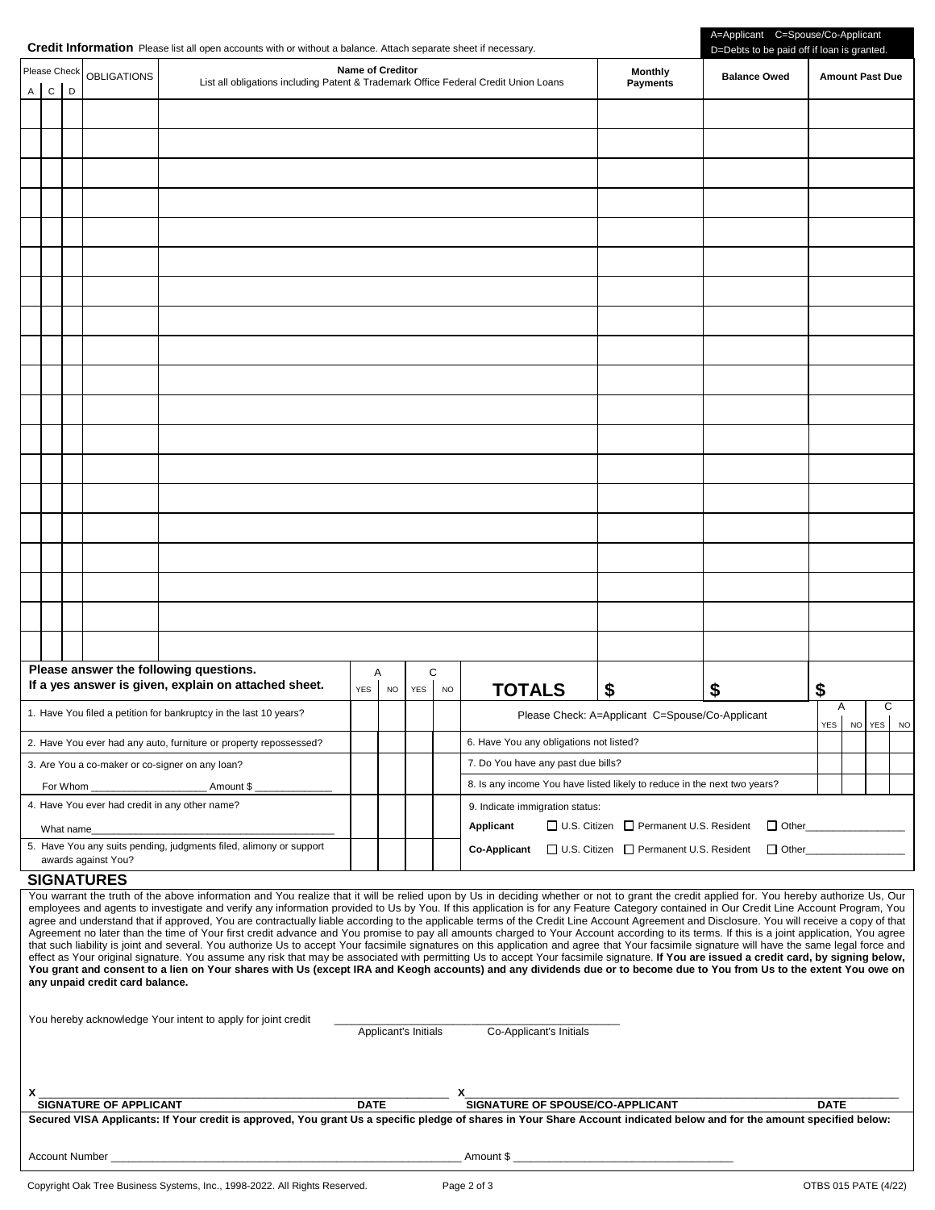|  | Credit Information Please list all open accounts with or without a balance. Attach separate sheet if necessary. |  |
|--|-----------------------------------------------------------------------------------------------------------------|--|
|--|-----------------------------------------------------------------------------------------------------------------|--|

| A                                                                                                                                                                                                                                                                                                                                                                                                                                                                                                                                                                                                                                                                                                                                                                                                                                                                                                                                                                                                                                                                                                                                                                                                                                                                                                                                                                                                                                                                                                           | Please Check<br>$\mathsf{C}$                                                             | D          | <b>OBLIGATIONS</b>  | Name of Creditor<br>List all obligations including Patent & Trademark Office Federal Credit Union Loans                                                                 |                              |          |           | <b>Monthly</b><br><b>Payments</b>                                                                              | <b>Balance Owed</b>                                      | <b>Amount Past Due</b> |          |        |   |           |
|-------------------------------------------------------------------------------------------------------------------------------------------------------------------------------------------------------------------------------------------------------------------------------------------------------------------------------------------------------------------------------------------------------------------------------------------------------------------------------------------------------------------------------------------------------------------------------------------------------------------------------------------------------------------------------------------------------------------------------------------------------------------------------------------------------------------------------------------------------------------------------------------------------------------------------------------------------------------------------------------------------------------------------------------------------------------------------------------------------------------------------------------------------------------------------------------------------------------------------------------------------------------------------------------------------------------------------------------------------------------------------------------------------------------------------------------------------------------------------------------------------------|------------------------------------------------------------------------------------------|------------|---------------------|-------------------------------------------------------------------------------------------------------------------------------------------------------------------------|------------------------------|----------|-----------|----------------------------------------------------------------------------------------------------------------|----------------------------------------------------------|------------------------|----------|--------|---|-----------|
|                                                                                                                                                                                                                                                                                                                                                                                                                                                                                                                                                                                                                                                                                                                                                                                                                                                                                                                                                                                                                                                                                                                                                                                                                                                                                                                                                                                                                                                                                                             |                                                                                          |            |                     |                                                                                                                                                                         |                              |          |           |                                                                                                                |                                                          |                        |          |        |   |           |
|                                                                                                                                                                                                                                                                                                                                                                                                                                                                                                                                                                                                                                                                                                                                                                                                                                                                                                                                                                                                                                                                                                                                                                                                                                                                                                                                                                                                                                                                                                             |                                                                                          |            |                     |                                                                                                                                                                         |                              |          |           |                                                                                                                |                                                          |                        |          |        |   |           |
|                                                                                                                                                                                                                                                                                                                                                                                                                                                                                                                                                                                                                                                                                                                                                                                                                                                                                                                                                                                                                                                                                                                                                                                                                                                                                                                                                                                                                                                                                                             |                                                                                          |            |                     |                                                                                                                                                                         |                              |          |           |                                                                                                                |                                                          |                        |          |        |   |           |
|                                                                                                                                                                                                                                                                                                                                                                                                                                                                                                                                                                                                                                                                                                                                                                                                                                                                                                                                                                                                                                                                                                                                                                                                                                                                                                                                                                                                                                                                                                             |                                                                                          |            |                     |                                                                                                                                                                         |                              |          |           |                                                                                                                |                                                          |                        |          |        |   |           |
|                                                                                                                                                                                                                                                                                                                                                                                                                                                                                                                                                                                                                                                                                                                                                                                                                                                                                                                                                                                                                                                                                                                                                                                                                                                                                                                                                                                                                                                                                                             |                                                                                          |            |                     |                                                                                                                                                                         |                              |          |           |                                                                                                                |                                                          |                        |          |        |   |           |
|                                                                                                                                                                                                                                                                                                                                                                                                                                                                                                                                                                                                                                                                                                                                                                                                                                                                                                                                                                                                                                                                                                                                                                                                                                                                                                                                                                                                                                                                                                             |                                                                                          |            |                     |                                                                                                                                                                         |                              |          |           |                                                                                                                |                                                          |                        |          |        |   |           |
|                                                                                                                                                                                                                                                                                                                                                                                                                                                                                                                                                                                                                                                                                                                                                                                                                                                                                                                                                                                                                                                                                                                                                                                                                                                                                                                                                                                                                                                                                                             |                                                                                          |            |                     |                                                                                                                                                                         |                              |          |           |                                                                                                                |                                                          |                        |          |        |   |           |
|                                                                                                                                                                                                                                                                                                                                                                                                                                                                                                                                                                                                                                                                                                                                                                                                                                                                                                                                                                                                                                                                                                                                                                                                                                                                                                                                                                                                                                                                                                             |                                                                                          |            |                     |                                                                                                                                                                         |                              |          |           |                                                                                                                |                                                          |                        |          |        |   |           |
|                                                                                                                                                                                                                                                                                                                                                                                                                                                                                                                                                                                                                                                                                                                                                                                                                                                                                                                                                                                                                                                                                                                                                                                                                                                                                                                                                                                                                                                                                                             |                                                                                          |            |                     |                                                                                                                                                                         |                              |          |           |                                                                                                                |                                                          |                        |          |        |   |           |
|                                                                                                                                                                                                                                                                                                                                                                                                                                                                                                                                                                                                                                                                                                                                                                                                                                                                                                                                                                                                                                                                                                                                                                                                                                                                                                                                                                                                                                                                                                             |                                                                                          |            |                     |                                                                                                                                                                         |                              |          |           |                                                                                                                |                                                          |                        |          |        |   |           |
|                                                                                                                                                                                                                                                                                                                                                                                                                                                                                                                                                                                                                                                                                                                                                                                                                                                                                                                                                                                                                                                                                                                                                                                                                                                                                                                                                                                                                                                                                                             |                                                                                          |            |                     |                                                                                                                                                                         |                              |          |           |                                                                                                                |                                                          |                        |          |        |   |           |
|                                                                                                                                                                                                                                                                                                                                                                                                                                                                                                                                                                                                                                                                                                                                                                                                                                                                                                                                                                                                                                                                                                                                                                                                                                                                                                                                                                                                                                                                                                             |                                                                                          |            |                     |                                                                                                                                                                         |                              |          |           |                                                                                                                |                                                          |                        |          |        |   |           |
|                                                                                                                                                                                                                                                                                                                                                                                                                                                                                                                                                                                                                                                                                                                                                                                                                                                                                                                                                                                                                                                                                                                                                                                                                                                                                                                                                                                                                                                                                                             |                                                                                          |            |                     |                                                                                                                                                                         |                              |          |           |                                                                                                                |                                                          |                        |          |        |   |           |
|                                                                                                                                                                                                                                                                                                                                                                                                                                                                                                                                                                                                                                                                                                                                                                                                                                                                                                                                                                                                                                                                                                                                                                                                                                                                                                                                                                                                                                                                                                             |                                                                                          |            |                     |                                                                                                                                                                         |                              |          |           |                                                                                                                |                                                          |                        |          |        |   |           |
|                                                                                                                                                                                                                                                                                                                                                                                                                                                                                                                                                                                                                                                                                                                                                                                                                                                                                                                                                                                                                                                                                                                                                                                                                                                                                                                                                                                                                                                                                                             |                                                                                          |            |                     |                                                                                                                                                                         |                              |          |           |                                                                                                                |                                                          |                        |          |        |   |           |
|                                                                                                                                                                                                                                                                                                                                                                                                                                                                                                                                                                                                                                                                                                                                                                                                                                                                                                                                                                                                                                                                                                                                                                                                                                                                                                                                                                                                                                                                                                             |                                                                                          |            |                     |                                                                                                                                                                         |                              |          |           |                                                                                                                |                                                          |                        |          |        |   |           |
|                                                                                                                                                                                                                                                                                                                                                                                                                                                                                                                                                                                                                                                                                                                                                                                                                                                                                                                                                                                                                                                                                                                                                                                                                                                                                                                                                                                                                                                                                                             |                                                                                          |            |                     |                                                                                                                                                                         |                              |          |           |                                                                                                                |                                                          |                        |          |        |   |           |
|                                                                                                                                                                                                                                                                                                                                                                                                                                                                                                                                                                                                                                                                                                                                                                                                                                                                                                                                                                                                                                                                                                                                                                                                                                                                                                                                                                                                                                                                                                             |                                                                                          |            |                     |                                                                                                                                                                         |                              |          |           |                                                                                                                |                                                          |                        |          |        |   |           |
|                                                                                                                                                                                                                                                                                                                                                                                                                                                                                                                                                                                                                                                                                                                                                                                                                                                                                                                                                                                                                                                                                                                                                                                                                                                                                                                                                                                                                                                                                                             |                                                                                          |            |                     |                                                                                                                                                                         |                              |          |           |                                                                                                                |                                                          |                        |          |        |   |           |
|                                                                                                                                                                                                                                                                                                                                                                                                                                                                                                                                                                                                                                                                                                                                                                                                                                                                                                                                                                                                                                                                                                                                                                                                                                                                                                                                                                                                                                                                                                             |                                                                                          |            |                     | Please answer the following questions.<br>If a yes answer is given, explain on attached sheet.                                                                          | A<br><b>YES</b><br><b>NO</b> | C<br>YES | <b>NO</b> | <b>TOTALS</b>                                                                                                  | \$                                                       | \$                     | \$       |        |   |           |
|                                                                                                                                                                                                                                                                                                                                                                                                                                                                                                                                                                                                                                                                                                                                                                                                                                                                                                                                                                                                                                                                                                                                                                                                                                                                                                                                                                                                                                                                                                             |                                                                                          |            |                     | 1. Have You filed a petition for bankruptcy in the last 10 years?                                                                                                       |                              |          |           |                                                                                                                | Please Check: A=Applicant C=Spouse/Co-Applicant          |                        | A<br>YES | NO YES | С | <b>NO</b> |
|                                                                                                                                                                                                                                                                                                                                                                                                                                                                                                                                                                                                                                                                                                                                                                                                                                                                                                                                                                                                                                                                                                                                                                                                                                                                                                                                                                                                                                                                                                             |                                                                                          |            |                     | 2. Have You ever had any auto, furniture or property repossessed?                                                                                                       |                              |          |           | 6. Have You any obligations not listed?                                                                        |                                                          |                        |          |        |   |           |
|                                                                                                                                                                                                                                                                                                                                                                                                                                                                                                                                                                                                                                                                                                                                                                                                                                                                                                                                                                                                                                                                                                                                                                                                                                                                                                                                                                                                                                                                                                             |                                                                                          | For Whom   |                     | 3. Are You a co-maker or co-signer on any loan?<br>Amount \$                                                                                                            |                              |          |           | 7. Do You have any past due bills?<br>8. Is any income You have listed likely to reduce in the next two years? |                                                          |                        |          |        |   |           |
|                                                                                                                                                                                                                                                                                                                                                                                                                                                                                                                                                                                                                                                                                                                                                                                                                                                                                                                                                                                                                                                                                                                                                                                                                                                                                                                                                                                                                                                                                                             |                                                                                          |            |                     | 4. Have You ever had credit in any other name?                                                                                                                          |                              |          |           | 9. Indicate immigration status:                                                                                |                                                          |                        |          |        |   |           |
|                                                                                                                                                                                                                                                                                                                                                                                                                                                                                                                                                                                                                                                                                                                                                                                                                                                                                                                                                                                                                                                                                                                                                                                                                                                                                                                                                                                                                                                                                                             |                                                                                          | What name_ |                     | 5. Have You any suits pending, judgments filed, alimony or support                                                                                                      |                              |          |           | Applicant                                                                                                      | □ U.S. Citizen □ Permanent U.S. Resident<br>$\Box$ Other |                        |          |        |   |           |
|                                                                                                                                                                                                                                                                                                                                                                                                                                                                                                                                                                                                                                                                                                                                                                                                                                                                                                                                                                                                                                                                                                                                                                                                                                                                                                                                                                                                                                                                                                             |                                                                                          |            | awards against You? |                                                                                                                                                                         |                              |          |           | <b>Co-Applicant</b>                                                                                            | □ U.S. Citizen □ Permanent U.S. Resident                 | □ Other                |          |        |   |           |
|                                                                                                                                                                                                                                                                                                                                                                                                                                                                                                                                                                                                                                                                                                                                                                                                                                                                                                                                                                                                                                                                                                                                                                                                                                                                                                                                                                                                                                                                                                             |                                                                                          |            | <b>SIGNATURES</b>   |                                                                                                                                                                         |                              |          |           |                                                                                                                |                                                          |                        |          |        |   |           |
| You warrant the truth of the above information and You realize that it will be relied upon by Us in deciding whether or not to grant the credit applied for. You hereby authorize Us, Our<br>employees and agents to investigate and verify any information provided to Us by You. If this application is for any Feature Category contained in Our Credit Line Account Program, You<br>agree and understand that if approved. You are contractually liable according to the applicable terms of the Credit Line Account Agreement and Disclosure. You will receive a copy of that<br>Agreement no later than the time of Your first credit advance and You promise to pay all amounts charged to Your Account according to its terms. If this is a joint application, You agree<br>that such liability is joint and several. You authorize Us to accept Your facsimile signatures on this application and agree that Your facsimile signature will have the same legal force and<br>effect as Your original signature. You assume any risk that may be associated with permitting Us to accept Your facsimile signature. If You are issued a credit card, by signing below,<br>You grant and consent to a lien on Your shares with Us (except IRA and Keogh accounts) and any dividends due or to become due to You from Us to the extent You owe on<br>any unpaid credit card balance.<br>You hereby acknowledge Your intent to apply for joint credit<br>Applicant's Initials<br>Co-Applicant's Initials |                                                                                          |            |                     |                                                                                                                                                                         |                              |          |           |                                                                                                                |                                                          |                        |          |        |   |           |
|                                                                                                                                                                                                                                                                                                                                                                                                                                                                                                                                                                                                                                                                                                                                                                                                                                                                                                                                                                                                                                                                                                                                                                                                                                                                                                                                                                                                                                                                                                             |                                                                                          |            |                     |                                                                                                                                                                         |                              |          |           |                                                                                                                |                                                          |                        |          |        |   |           |
| X.                                                                                                                                                                                                                                                                                                                                                                                                                                                                                                                                                                                                                                                                                                                                                                                                                                                                                                                                                                                                                                                                                                                                                                                                                                                                                                                                                                                                                                                                                                          | SIGNATURE OF SPOUSE/CO-APPLICANT<br>SIGNATURE OF APPLICANT<br><b>DATE</b><br><b>DATE</b> |            |                     |                                                                                                                                                                         |                              |          |           |                                                                                                                |                                                          |                        |          |        |   |           |
|                                                                                                                                                                                                                                                                                                                                                                                                                                                                                                                                                                                                                                                                                                                                                                                                                                                                                                                                                                                                                                                                                                                                                                                                                                                                                                                                                                                                                                                                                                             |                                                                                          |            |                     | Secured VISA Applicants: If Your credit is approved, You grant Us a specific pledge of shares in Your Share Account indicated below and for the amount specified below: |                              |          |           |                                                                                                                |                                                          |                        |          |        |   |           |
|                                                                                                                                                                                                                                                                                                                                                                                                                                                                                                                                                                                                                                                                                                                                                                                                                                                                                                                                                                                                                                                                                                                                                                                                                                                                                                                                                                                                                                                                                                             |                                                                                          |            |                     |                                                                                                                                                                         |                              |          |           |                                                                                                                |                                                          |                        |          |        |   |           |

Account Number \_\_\_\_\_\_\_\_\_\_\_\_\_\_\_\_\_\_\_\_\_\_\_\_\_\_\_\_\_\_\_\_\_\_\_\_\_\_\_\_\_\_\_\_\_\_\_\_\_\_\_\_\_\_\_\_\_\_\_ Amount \$ \_\_\_\_\_\_\_\_\_\_\_\_\_\_\_\_\_\_\_\_\_\_\_\_\_\_\_\_\_\_\_\_\_\_\_\_\_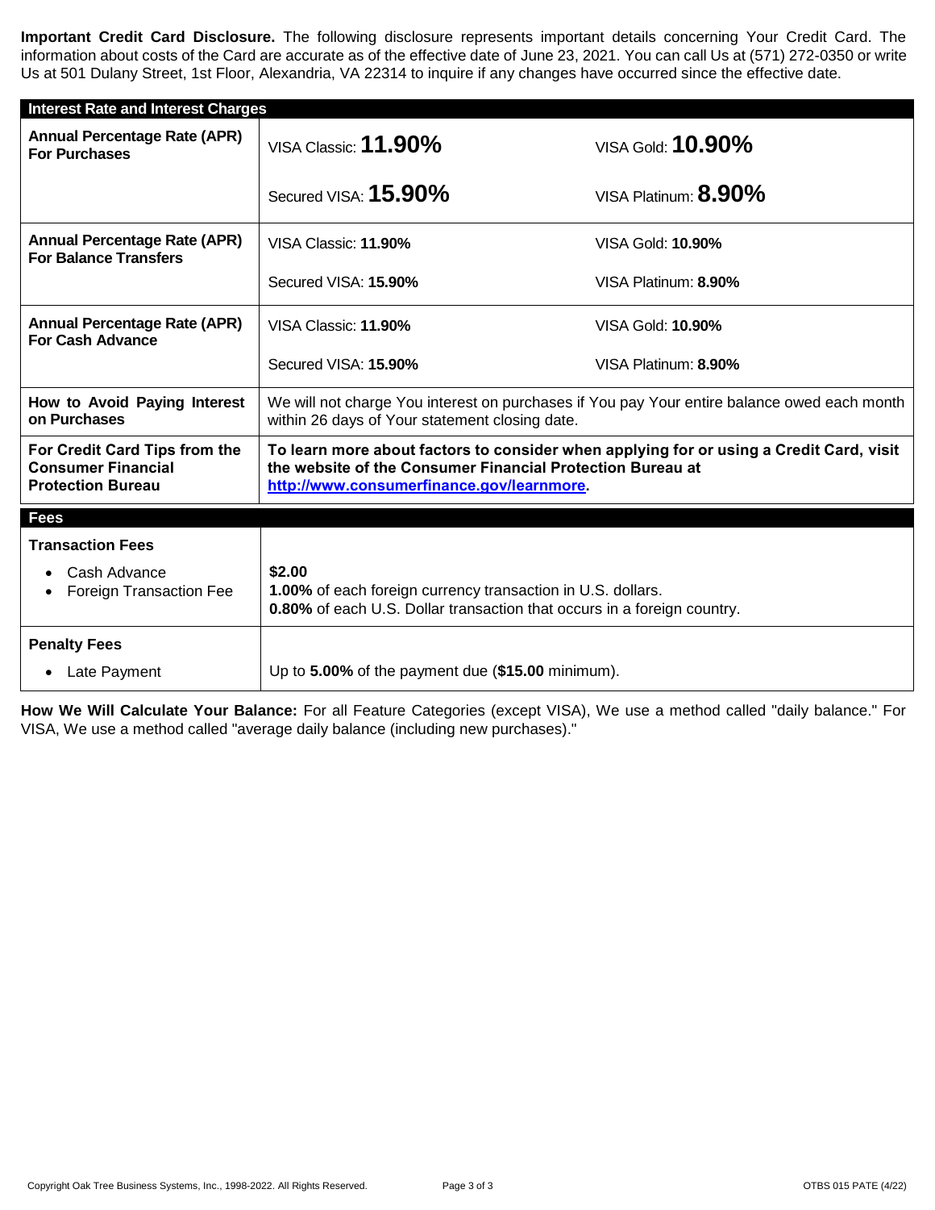**Important Credit Card Disclosure.** The following disclosure represents important details concerning Your Credit Card. The information about costs of the Card are accurate as of the effective date of June 23, 2021. You can call Us at (571) 272-0350 or write Us at 501 Dulany Street, 1st Floor, Alexandria, VA 22314 to inquire if any changes have occurred since the effective date.

| <b>Interest Rate and Interest Charges</b>                                              |                                                                                                                                                                                                    |                                                                                             |
|----------------------------------------------------------------------------------------|----------------------------------------------------------------------------------------------------------------------------------------------------------------------------------------------------|---------------------------------------------------------------------------------------------|
| <b>Annual Percentage Rate (APR)</b><br><b>For Purchases</b>                            | VISA Classic: $11.90\%$                                                                                                                                                                            | VISA Gold: 10.90%                                                                           |
|                                                                                        | Secured VISA: 15.90%                                                                                                                                                                               | VISA Platinum: 8.90%                                                                        |
| <b>Annual Percentage Rate (APR)</b><br><b>For Balance Transfers</b>                    | VISA Classic: 11.90%                                                                                                                                                                               | VISA Gold: <b>10.90%</b>                                                                    |
|                                                                                        | Secured VISA: 15.90%                                                                                                                                                                               | VISA Platinum: 8.90%                                                                        |
| <b>Annual Percentage Rate (APR)</b><br><b>For Cash Advance</b>                         | VISA Classic: 11.90%                                                                                                                                                                               | VISA Gold: <b>10.90%</b>                                                                    |
|                                                                                        | Secured VISA: 15.90%                                                                                                                                                                               | VISA Platinum: 8.90%                                                                        |
| How to Avoid Paying Interest<br>on Purchases                                           | within 26 days of Your statement closing date.                                                                                                                                                     | We will not charge You interest on purchases if You pay Your entire balance owed each month |
| For Credit Card Tips from the<br><b>Consumer Financial</b><br><b>Protection Bureau</b> | To learn more about factors to consider when applying for or using a Credit Card, visit<br>the website of the Consumer Financial Protection Bureau at<br>http://www.consumerfinance.gov/learnmore. |                                                                                             |
| <b>Fees</b>                                                                            |                                                                                                                                                                                                    |                                                                                             |
| <b>Transaction Fees</b>                                                                |                                                                                                                                                                                                    |                                                                                             |
| Cash Advance<br><b>Foreign Transaction Fee</b>                                         | \$2.00<br>1.00% of each foreign currency transaction in U.S. dollars.<br>0.80% of each U.S. Dollar transaction that occurs in a foreign country.                                                   |                                                                                             |
| <b>Penalty Fees</b>                                                                    |                                                                                                                                                                                                    |                                                                                             |
| • Late Payment                                                                         | Up to 5.00% of the payment due (\$15.00 minimum).                                                                                                                                                  |                                                                                             |

**How We Will Calculate Your Balance:** For all Feature Categories (except VISA), We use a method called "daily balance." For VISA, We use a method called "average daily balance (including new purchases)."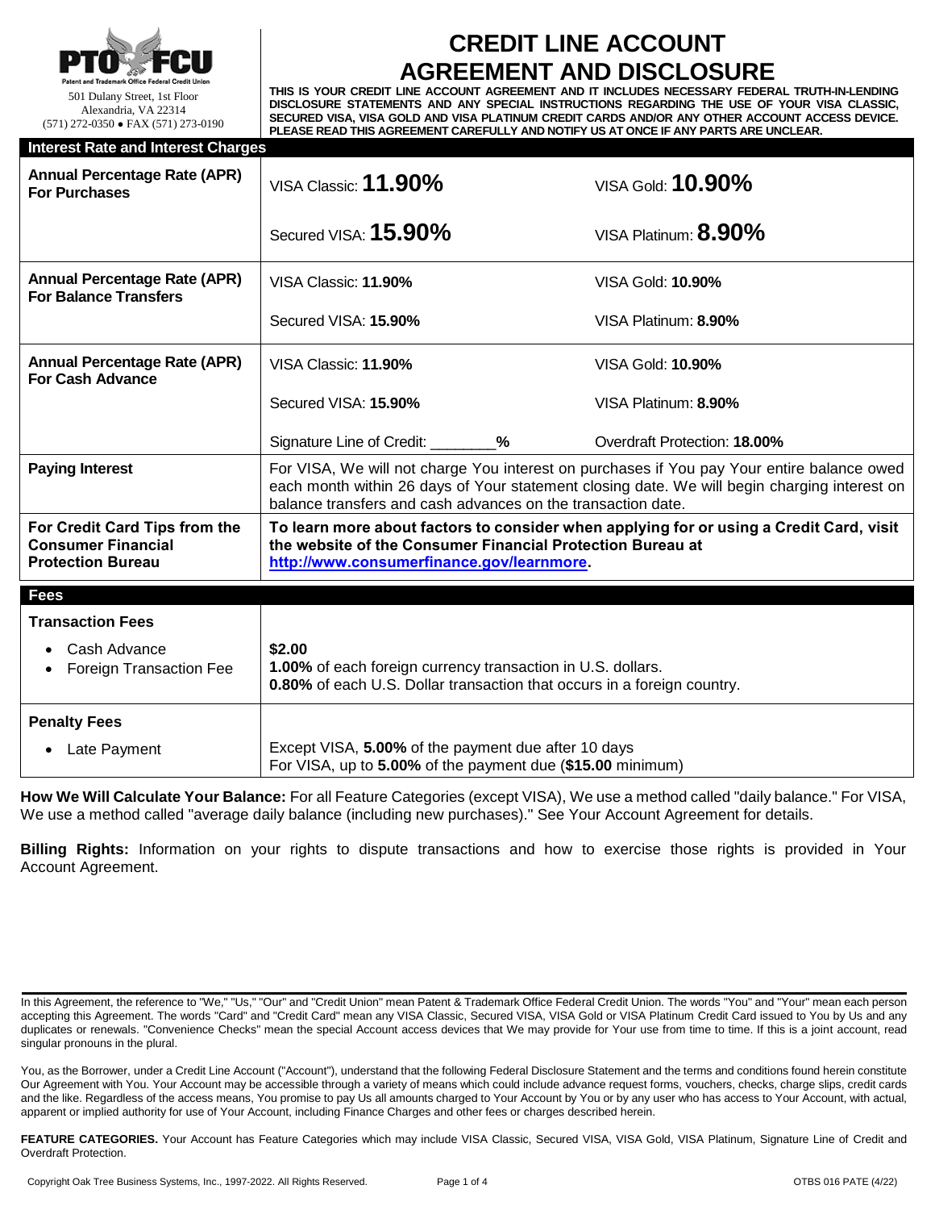

# **CREDIT LINE ACCOUNT AGREEMENT AND DISCLOSURE**

**THIS IS YOUR CREDIT LINE ACCOUNT AGREEMENT AND IT INCLUDES NECESSARY FEDERAL TRUTH-IN-LENDING DISCLOSURE STATEMENTS AND ANY SPECIAL INSTRUCTIONS REGARDING THE USE OF YOUR VISA CLASSIC, SECURED VISA, VISA GOLD AND VISA PLATINUM CREDIT CARDS AND/OR ANY OTHER ACCOUNT ACCESS DEVICE. PLEASE READ THIS AGREEMENT CAREFULLY AND NOTIFY US AT ONCE IF ANY PARTS ARE UNCLEAR.**

| <b>Interest Rate and Interest Charges</b>                                              |                                                                                                                                                                                                                                                            |                                                                                         |  |  |  |
|----------------------------------------------------------------------------------------|------------------------------------------------------------------------------------------------------------------------------------------------------------------------------------------------------------------------------------------------------------|-----------------------------------------------------------------------------------------|--|--|--|
| <b>Annual Percentage Rate (APR)</b><br><b>For Purchases</b>                            | VISA Classic: <b>11.90%</b>                                                                                                                                                                                                                                | VISA Gold: 10.90%                                                                       |  |  |  |
|                                                                                        | Secured VISA: 15.90%                                                                                                                                                                                                                                       | VISA Platinum: $8.90\%$                                                                 |  |  |  |
| <b>Annual Percentage Rate (APR)</b><br><b>For Balance Transfers</b>                    | VISA Classic: 11.90%                                                                                                                                                                                                                                       | VISA Gold: <b>10.90%</b>                                                                |  |  |  |
|                                                                                        | Secured VISA: 15.90%                                                                                                                                                                                                                                       | VISA Platinum: 8.90%                                                                    |  |  |  |
| <b>Annual Percentage Rate (APR)</b><br><b>For Cash Advance</b>                         | VISA Classic: 11.90%                                                                                                                                                                                                                                       | VISA Gold: <b>10.90%</b>                                                                |  |  |  |
|                                                                                        | Secured VISA: 15.90%                                                                                                                                                                                                                                       | VISA Platinum: 8.90%                                                                    |  |  |  |
|                                                                                        | Signature Line of Credit: _________%                                                                                                                                                                                                                       | <b>Overdraft Protection: 18.00%</b>                                                     |  |  |  |
| <b>Paying Interest</b>                                                                 | For VISA, We will not charge You interest on purchases if You pay Your entire balance owed<br>each month within 26 days of Your statement closing date. We will begin charging interest on<br>balance transfers and cash advances on the transaction date. |                                                                                         |  |  |  |
| For Credit Card Tips from the<br><b>Consumer Financial</b><br><b>Protection Bureau</b> | the website of the Consumer Financial Protection Bureau at<br>http://www.consumerfinance.gov/learnmore.                                                                                                                                                    | To learn more about factors to consider when applying for or using a Credit Card, visit |  |  |  |
| <b>Fees</b>                                                                            |                                                                                                                                                                                                                                                            |                                                                                         |  |  |  |
| <b>Transaction Fees</b>                                                                |                                                                                                                                                                                                                                                            |                                                                                         |  |  |  |
| Cash Advance<br><b>Foreign Transaction Fee</b>                                         | \$2.00<br>1.00% of each foreign currency transaction in U.S. dollars.<br>0.80% of each U.S. Dollar transaction that occurs in a foreign country.                                                                                                           |                                                                                         |  |  |  |
| <b>Penalty Fees</b>                                                                    |                                                                                                                                                                                                                                                            |                                                                                         |  |  |  |
| Late Payment                                                                           | Except VISA, 5.00% of the payment due after 10 days<br>For VISA, up to 5.00% of the payment due (\$15.00 minimum)                                                                                                                                          |                                                                                         |  |  |  |

**How We Will Calculate Your Balance:** For all Feature Categories (except VISA), We use a method called "daily balance." For VISA, We use a method called "average daily balance (including new purchases)." See Your Account Agreement for details.

**Billing Rights:** Information on your rights to dispute transactions and how to exercise those rights is provided in Your Account Agreement.

FEATURE CATEGORIES. Your Account has Feature Categories which may include VISA Classic, Secured VISA, VISA Gold, VISA Platinum, Signature Line of Credit and Overdraft Protection.

In this Agreement, the reference to "We," "Us," "Our" and "Credit Union" mean Patent & Trademark Office Federal Credit Union. The words "You" and "Your" mean each person accepting this Agreement. The words "Card" and "Credit Card" mean any VISA Classic, Secured VISA, VISA Gold or VISA Platinum Credit Card issued to You by Us and any duplicates or renewals. "Convenience Checks" mean the special Account access devices that We may provide for Your use from time to time. If this is a joint account, read singular pronouns in the plural.

You, as the Borrower, under a Credit Line Account ("Account"), understand that the following Federal Disclosure Statement and the terms and conditions found herein constitute Our Agreement with You. Your Account may be accessible through a variety of means which could include advance request forms, vouchers, checks, charge slips, credit cards and the like. Regardless of the access means, You promise to pay Us all amounts charged to Your Account by You or by any user who has access to Your Account, with actual, apparent or implied authority for use of Your Account, including Finance Charges and other fees or charges described herein.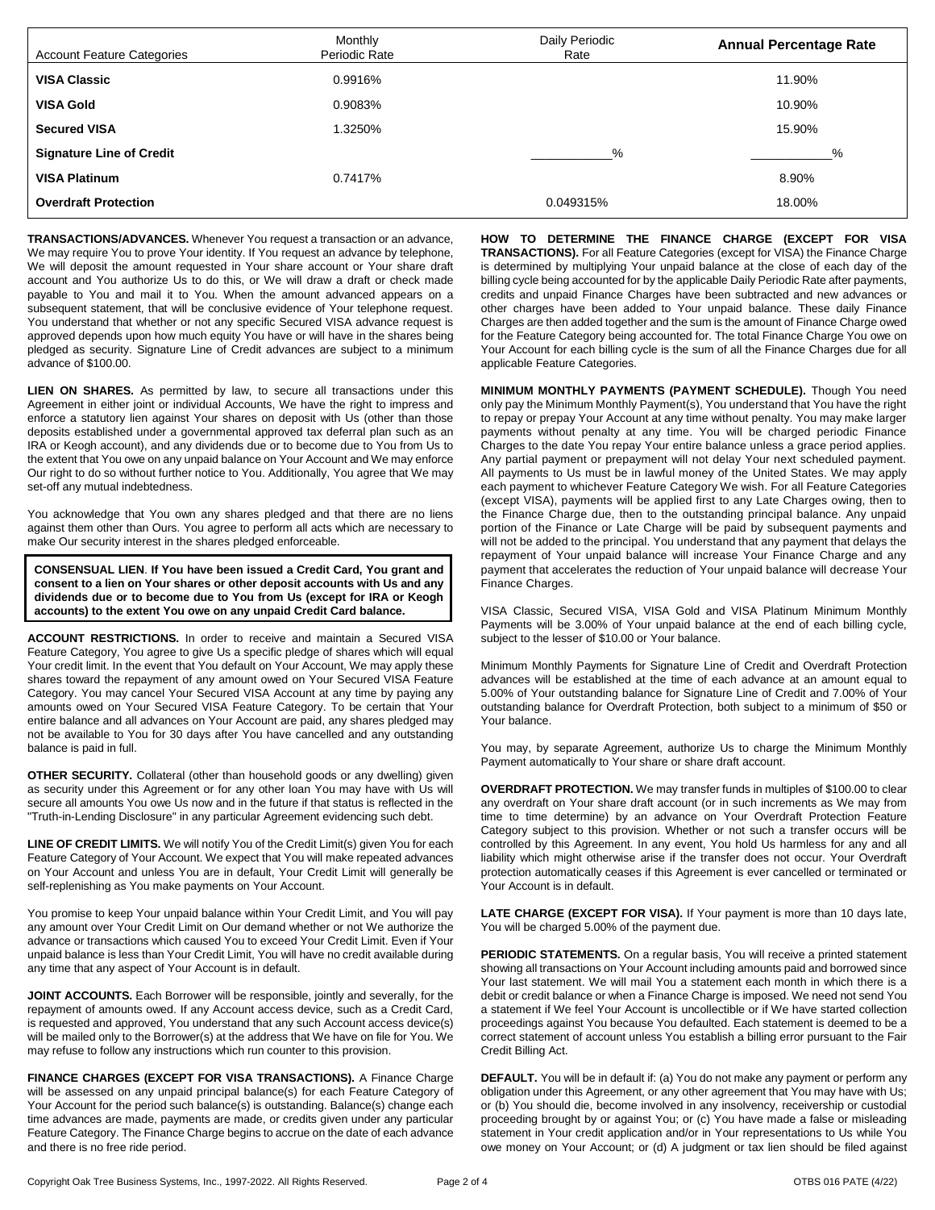| <b>Account Feature Categories</b> | Monthly<br>Periodic Rate | Daily Periodic<br>Rate | <b>Annual Percentage Rate</b> |
|-----------------------------------|--------------------------|------------------------|-------------------------------|
| <b>VISA Classic</b>               | 0.9916%                  |                        | 11.90%                        |
| <b>VISA Gold</b>                  | 0.9083%                  |                        | 10.90%                        |
| <b>Secured VISA</b>               | 1.3250%                  |                        | 15.90%                        |
| <b>Signature Line of Credit</b>   |                          | $\%$                   | %                             |
| <b>VISA Platinum</b>              | 0.7417%                  |                        | 8.90%                         |
| <b>Overdraft Protection</b>       |                          | 0.049315%              | 18.00%                        |

**TRANSACTIONS/ADVANCES.** Whenever You request a transaction or an advance, We may require You to prove Your identity. If You request an advance by telephone, We will deposit the amount requested in Your share account or Your share draft account and You authorize Us to do this, or We will draw a draft or check made payable to You and mail it to You. When the amount advanced appears on a subsequent statement, that will be conclusive evidence of Your telephone request. You understand that whether or not any specific Secured VISA advance request is approved depends upon how much equity You have or will have in the shares being pledged as security. Signature Line of Credit advances are subject to a minimum advance of \$100.00.

**LIEN ON SHARES.** As permitted by law, to secure all transactions under this Agreement in either joint or individual Accounts, We have the right to impress and enforce a statutory lien against Your shares on deposit with Us (other than those deposits established under a governmental approved tax deferral plan such as an IRA or Keogh account), and any dividends due or to become due to You from Us to the extent that You owe on any unpaid balance on Your Account and We may enforce Our right to do so without further notice to You. Additionally, You agree that We may set-off any mutual indebtedness.

You acknowledge that You own any shares pledged and that there are no liens against them other than Ours. You agree to perform all acts which are necessary to make Our security interest in the shares pledged enforceable.

**CONSENSUAL LIEN**. **If You have been issued a Credit Card, You grant and consent to a lien on Your shares or other deposit accounts with Us and any dividends due or to become due to You from Us (except for IRA or Keogh accounts) to the extent You owe on any unpaid Credit Card balance.**

**ACCOUNT RESTRICTIONS.** In order to receive and maintain a Secured VISA Feature Category, You agree to give Us a specific pledge of shares which will equal Your credit limit. In the event that You default on Your Account, We may apply these shares toward the repayment of any amount owed on Your Secured VISA Feature Category. You may cancel Your Secured VISA Account at any time by paying any amounts owed on Your Secured VISA Feature Category. To be certain that Your entire balance and all advances on Your Account are paid, any shares pledged may not be available to You for 30 days after You have cancelled and any outstanding balance is paid in full.

**OTHER SECURITY.** Collateral (other than household goods or any dwelling) given as security under this Agreement or for any other loan You may have with Us will secure all amounts You owe Us now and in the future if that status is reflected in the "Truth-in-Lending Disclosure" in any particular Agreement evidencing such debt.

**LINE OF CREDIT LIMITS.** We will notify You of the Credit Limit(s) given You for each Feature Category of Your Account. We expect that You will make repeated advances on Your Account and unless You are in default, Your Credit Limit will generally be self-replenishing as You make payments on Your Account.

You promise to keep Your unpaid balance within Your Credit Limit, and You will pay any amount over Your Credit Limit on Our demand whether or not We authorize the advance or transactions which caused You to exceed Your Credit Limit. Even if Your unpaid balance is less than Your Credit Limit, You will have no credit available during any time that any aspect of Your Account is in default.

**JOINT ACCOUNTS.** Each Borrower will be responsible, jointly and severally, for the repayment of amounts owed. If any Account access device, such as a Credit Card, is requested and approved, You understand that any such Account access device(s) will be mailed only to the Borrower(s) at the address that We have on file for You. We may refuse to follow any instructions which run counter to this provision.

**FINANCE CHARGES (EXCEPT FOR VISA TRANSACTIONS).** A Finance Charge will be assessed on any unpaid principal balance(s) for each Feature Category of Your Account for the period such balance(s) is outstanding. Balance(s) change each time advances are made, payments are made, or credits given under any particular Feature Category. The Finance Charge begins to accrue on the date of each advance and there is no free ride period.

**HOW TO DETERMINE THE FINANCE CHARGE (EXCEPT FOR VISA TRANSACTIONS).** For all Feature Categories (except for VISA) the Finance Charge is determined by multiplying Your unpaid balance at the close of each day of the billing cycle being accounted for by the applicable Daily Periodic Rate after payments, credits and unpaid Finance Charges have been subtracted and new advances or other charges have been added to Your unpaid balance. These daily Finance Charges are then added together and the sum is the amount of Finance Charge owed for the Feature Category being accounted for. The total Finance Charge You owe on Your Account for each billing cycle is the sum of all the Finance Charges due for all applicable Feature Categories.

**MINIMUM MONTHLY PAYMENTS (PAYMENT SCHEDULE).** Though You need only pay the Minimum Monthly Payment(s), You understand that You have the right to repay or prepay Your Account at any time without penalty. You may make larger payments without penalty at any time. You will be charged periodic Finance Charges to the date You repay Your entire balance unless a grace period applies. Any partial payment or prepayment will not delay Your next scheduled payment. All payments to Us must be in lawful money of the United States. We may apply each payment to whichever Feature Category We wish. For all Feature Categories (except VISA), payments will be applied first to any Late Charges owing, then to the Finance Charge due, then to the outstanding principal balance. Any unpaid portion of the Finance or Late Charge will be paid by subsequent payments and will not be added to the principal. You understand that any payment that delays the repayment of Your unpaid balance will increase Your Finance Charge and any payment that accelerates the reduction of Your unpaid balance will decrease Your Finance Charges.

VISA Classic, Secured VISA, VISA Gold and VISA Platinum Minimum Monthly Payments will be 3.00% of Your unpaid balance at the end of each billing cycle, subject to the lesser of \$10.00 or Your balance.

Minimum Monthly Payments for Signature Line of Credit and Overdraft Protection advances will be established at the time of each advance at an amount equal to 5.00% of Your outstanding balance for Signature Line of Credit and 7.00% of Your outstanding balance for Overdraft Protection, both subject to a minimum of \$50 or Your balance.

You may, by separate Agreement, authorize Us to charge the Minimum Monthly Payment automatically to Your share or share draft account.

**OVERDRAFT PROTECTION.** We may transfer funds in multiples of \$100.00 to clear any overdraft on Your share draft account (or in such increments as We may from time to time determine) by an advance on Your Overdraft Protection Feature Category subject to this provision. Whether or not such a transfer occurs will be controlled by this Agreement. In any event, You hold Us harmless for any and all liability which might otherwise arise if the transfer does not occur. Your Overdraft protection automatically ceases if this Agreement is ever cancelled or terminated or Your Account is in default.

LATE CHARGE (EXCEPT FOR VISA). If Your payment is more than 10 days late, You will be charged 5.00% of the payment due.

**PERIODIC STATEMENTS.** On a regular basis, You will receive a printed statement showing all transactions on Your Account including amounts paid and borrowed since Your last statement. We will mail You a statement each month in which there is a debit or credit balance or when a Finance Charge is imposed. We need not send You a statement if We feel Your Account is uncollectible or if We have started collection proceedings against You because You defaulted. Each statement is deemed to be a correct statement of account unless You establish a billing error pursuant to the Fair Credit Billing Act.

**DEFAULT.** You will be in default if: (a) You do not make any payment or perform any obligation under this Agreement, or any other agreement that You may have with Us; or (b) You should die, become involved in any insolvency, receivership or custodial proceeding brought by or against You; or (c) You have made a false or misleading statement in Your credit application and/or in Your representations to Us while You owe money on Your Account; or (d) A judgment or tax lien should be filed against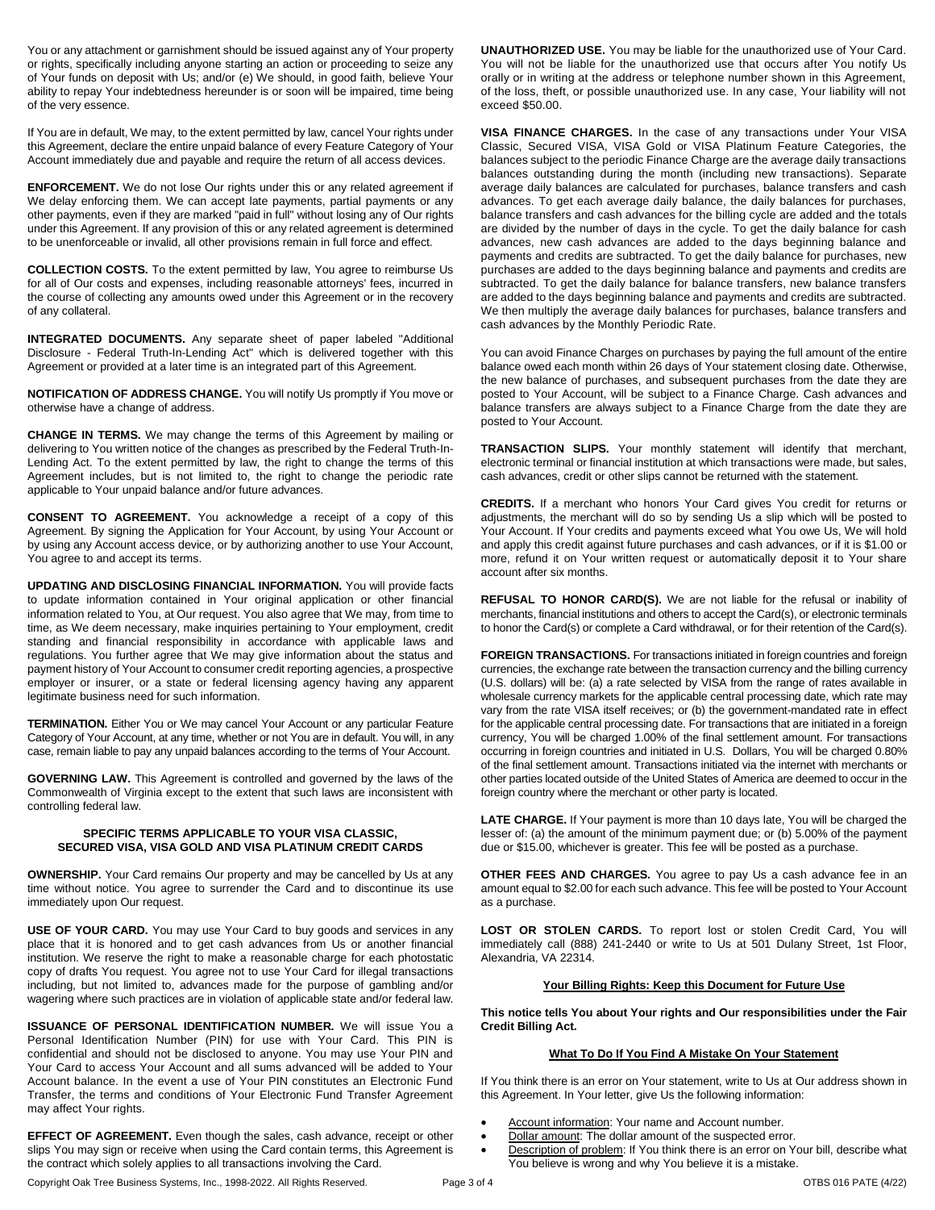You or any attachment or garnishment should be issued against any of Your property or rights, specifically including anyone starting an action or proceeding to seize any of Your funds on deposit with Us; and/or (e) We should, in good faith, believe Your ability to repay Your indebtedness hereunder is or soon will be impaired, time being of the very essence.

If You are in default, We may, to the extent permitted by law, cancel Your rights under this Agreement, declare the entire unpaid balance of every Feature Category of Your Account immediately due and payable and require the return of all access devices.

**ENFORCEMENT.** We do not lose Our rights under this or any related agreement if We delay enforcing them. We can accept late payments, partial payments or any other payments, even if they are marked "paid in full" without losing any of Our rights under this Agreement. If any provision of this or any related agreement is determined to be unenforceable or invalid, all other provisions remain in full force and effect.

**COLLECTION COSTS.** To the extent permitted by law, You agree to reimburse Us for all of Our costs and expenses, including reasonable attorneys' fees, incurred in the course of collecting any amounts owed under this Agreement or in the recovery of any collateral.

**INTEGRATED DOCUMENTS.** Any separate sheet of paper labeled "Additional Disclosure - Federal Truth-In-Lending Act" which is delivered together with this Agreement or provided at a later time is an integrated part of this Agreement.

**NOTIFICATION OF ADDRESS CHANGE.** You will notify Us promptly if You move or otherwise have a change of address.

**CHANGE IN TERMS.** We may change the terms of this Agreement by mailing or delivering to You written notice of the changes as prescribed by the Federal Truth-In-Lending Act. To the extent permitted by law, the right to change the terms of this Agreement includes, but is not limited to, the right to change the periodic rate applicable to Your unpaid balance and/or future advances.

**CONSENT TO AGREEMENT.** You acknowledge a receipt of a copy of this Agreement. By signing the Application for Your Account, by using Your Account or by using any Account access device, or by authorizing another to use Your Account, You agree to and accept its terms.

**UPDATING AND DISCLOSING FINANCIAL INFORMATION.** You will provide facts to update information contained in Your original application or other financial information related to You, at Our request. You also agree that We may, from time to time, as We deem necessary, make inquiries pertaining to Your employment, credit standing and financial responsibility in accordance with applicable laws and regulations. You further agree that We may give information about the status and payment history of Your Account to consumer credit reporting agencies, a prospective employer or insurer, or a state or federal licensing agency having any apparent legitimate business need for such information.

**TERMINATION.** Either You or We may cancel Your Account or any particular Feature Category of Your Account, at any time, whether or not You are in default. You will, in any case, remain liable to pay any unpaid balances according to the terms of Your Account.

**GOVERNING LAW.** This Agreement is controlled and governed by the laws of the Commonwealth of Virginia except to the extent that such laws are inconsistent with controlling federal law.

## **SPECIFIC TERMS APPLICABLE TO YOUR VISA CLASSIC, SECURED VISA, VISA GOLD AND VISA PLATINUM CREDIT CARDS**

**OWNERSHIP.** Your Card remains Our property and may be cancelled by Us at any time without notice. You agree to surrender the Card and to discontinue its use immediately upon Our request.

**USE OF YOUR CARD.** You may use Your Card to buy goods and services in any place that it is honored and to get cash advances from Us or another financial institution. We reserve the right to make a reasonable charge for each photostatic copy of drafts You request. You agree not to use Your Card for illegal transactions including, but not limited to, advances made for the purpose of gambling and/or wagering where such practices are in violation of applicable state and/or federal law.

**ISSUANCE OF PERSONAL IDENTIFICATION NUMBER.** We will issue You a Personal Identification Number (PIN) for use with Your Card. This PIN is confidential and should not be disclosed to anyone. You may use Your PIN and Your Card to access Your Account and all sums advanced will be added to Your Account balance. In the event a use of Your PIN constitutes an Electronic Fund Transfer, the terms and conditions of Your Electronic Fund Transfer Agreement may affect Your rights.

**EFFECT OF AGREEMENT.** Even though the sales, cash advance, receipt or other slips You may sign or receive when using the Card contain terms, this Agreement is the contract which solely applies to all transactions involving the Card.

**UNAUTHORIZED USE.** You may be liable for the unauthorized use of Your Card. You will not be liable for the unauthorized use that occurs after You notify Us orally or in writing at the address or telephone number shown in this Agreement, of the loss, theft, or possible unauthorized use. In any case, Your liability will not exceed \$50.00.

**VISA FINANCE CHARGES.** In the case of any transactions under Your VISA Classic, Secured VISA, VISA Gold or VISA Platinum Feature Categories, the balances subject to the periodic Finance Charge are the average daily transactions balances outstanding during the month (including new transactions). Separate average daily balances are calculated for purchases, balance transfers and cash advances. To get each average daily balance, the daily balances for purchases, balance transfers and cash advances for the billing cycle are added and the totals are divided by the number of days in the cycle. To get the daily balance for cash advances, new cash advances are added to the days beginning balance and payments and credits are subtracted. To get the daily balance for purchases, new purchases are added to the days beginning balance and payments and credits are subtracted. To get the daily balance for balance transfers, new balance transfers are added to the days beginning balance and payments and credits are subtracted. We then multiply the average daily balances for purchases, balance transfers and cash advances by the Monthly Periodic Rate.

You can avoid Finance Charges on purchases by paying the full amount of the entire balance owed each month within 26 days of Your statement closing date. Otherwise, the new balance of purchases, and subsequent purchases from the date they are posted to Your Account, will be subject to a Finance Charge. Cash advances and balance transfers are always subject to a Finance Charge from the date they are posted to Your Account.

**TRANSACTION SLIPS.** Your monthly statement will identify that merchant, electronic terminal or financial institution at which transactions were made, but sales, cash advances, credit or other slips cannot be returned with the statement.

**CREDITS.** If a merchant who honors Your Card gives You credit for returns or adjustments, the merchant will do so by sending Us a slip which will be posted to Your Account. If Your credits and payments exceed what You owe Us, We will hold and apply this credit against future purchases and cash advances, or if it is \$1.00 or more, refund it on Your written request or automatically deposit it to Your share account after six months.

**REFUSAL TO HONOR CARD(S).** We are not liable for the refusal or inability of merchants, financial institutions and others to accept the Card(s), or electronic terminals to honor the Card(s) or complete a Card withdrawal, or for their retention of the Card(s).

**FOREIGN TRANSACTIONS.** For transactions initiated in foreign countries and foreign currencies, the exchange rate between the transaction currency and the billing currency (U.S. dollars) will be: (a) a rate selected by VISA from the range of rates available in wholesale currency markets for the applicable central processing date, which rate may vary from the rate VISA itself receives; or (b) the government-mandated rate in effect for the applicable central processing date. For transactions that are initiated in a foreign currency, You will be charged 1.00% of the final settlement amount. For transactions occurring in foreign countries and initiated in U.S. Dollars, You will be charged 0.80% of the final settlement amount. Transactions initiated via the internet with merchants or other parties located outside of the United States of America are deemed to occur in the foreign country where the merchant or other party is located.

**LATE CHARGE.** If Your payment is more than 10 days late, You will be charged the lesser of: (a) the amount of the minimum payment due; or (b) 5.00% of the payment due or \$15.00, whichever is greater. This fee will be posted as a purchase.

**OTHER FEES AND CHARGES.** You agree to pay Us a cash advance fee in an amount equal to \$2.00 for each such advance. This fee will be posted to Your Account as a purchase.

LOST OR STOLEN CARDS. To report lost or stolen Credit Card, You will immediately call (888) 241-2440 or write to Us at 501 Dulany Street, 1st Floor, Alexandria, VA 22314.

## **Your Billing Rights: Keep this Document for Future Use**

**This notice tells You about Your rights and Our responsibilities under the Fair Credit Billing Act.**

# **What To Do If You Find A Mistake On Your Statement**

If You think there is an error on Your statement, write to Us at Our address shown in this Agreement. In Your letter, give Us the following information:

- Account information: Your name and Account number.
- Dollar amount: The dollar amount of the suspected error.
- Description of problem: If You think there is an error on Your bill, describe what You believe is wrong and why You believe it is a mistake.

Copyright Oak Tree Business Systems, Inc., 1998-2022. All Rights Reserved. Page 3 of 4 OTBS 016 PATE (4/22)